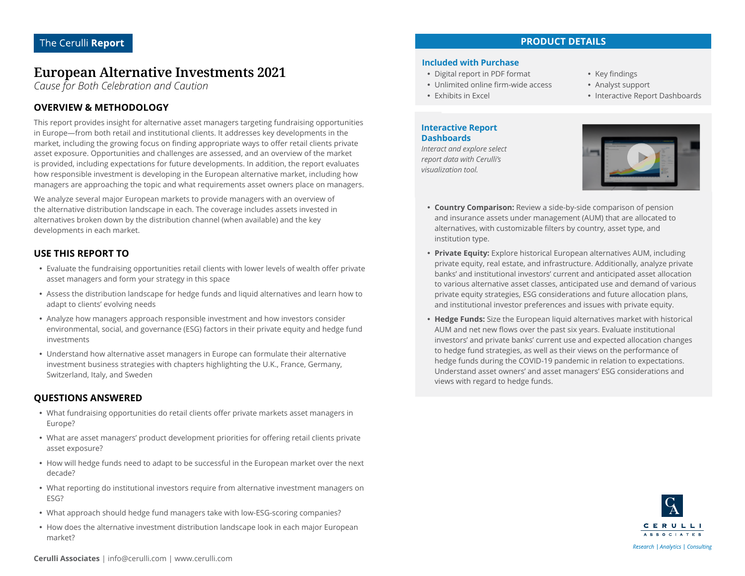# **European Alternative Investments 2021**

*Cause for Both Celebration and Caution*

## **OVERVIEW & METHODOLOGY**

This report provides insight for alternative asset managers targeting fundraising opportunities in Europe—from both retail and institutional clients. It addresses key developments in the market, including the growing focus on finding appropriate ways to offer retail clients private asset exposure. Opportunities and challenges are assessed, and an overview of the market is provided, including expectations for future developments. In addition, the report evaluates how responsible investment is developing in the European alternative market, including how managers are approaching the topic and what requirements asset owners place on managers.

We analyze several major European markets to provide managers with an overview of the alternative distribution landscape in each. The coverage includes assets invested in alternatives broken down by the distribution channel (when available) and the key developments in each market.

### **USE THIS REPORT TO**

- Evaluate the fundraising opportunities retail clients with lower levels of wealth offer private asset managers and form your strategy in this space
- Assess the distribution landscape for hedge funds and liquid alternatives and learn how to adapt to clients' evolving needs
- Analyze how managers approach responsible investment and how investors consider environmental, social, and governance (ESG) factors in their private equity and hedge fund investments
- Understand how alternative asset managers in Europe can formulate their alternative investment business strategies with chapters highlighting the U.K., France, Germany, Switzerland, Italy, and Sweden

### **QUESTIONS ANSWERED**

- What fundraising opportunities do retail clients offer private markets asset managers in Europe?
- What are asset managers' product development priorities for offering retail clients private asset exposure?
- How will hedge funds need to adapt to be successful in the European market over the next decade?
- What reporting do institutional investors require from alternative investment managers on ESG?
- What approach should hedge fund managers take with low-ESG-scoring companies?
- How does the alternative investment distribution landscape look in each major European market?

#### **Included with Purchase**

- Digital report in PDF format
- Unlimited online firm-wide access
- Exhibits in Excel

#### **Interactive Report Dashboards**

*Interact and explore select report data with Cerulli's visualization tool.*



- Analyst support
- Interactive Report Dashboards



- **Country Comparison:** Review a side-by-side comparison of pension and insurance assets under management (AUM) that are allocated to alternatives, with customizable filters by country, asset type, and institution type.
- **Private Equity:** Explore historical European alternatives AUM, including private equity, real estate, and infrastructure. Additionally, analyze private banks' and institutional investors' current and anticipated asset allocation to various alternative asset classes, anticipated use and demand of various private equity strategies, ESG considerations and future allocation plans, and institutional investor preferences and issues with private equity.
- Hedge Funds: Size the European liquid alternatives market with historical AUM and net new flows over the past six years. Evaluate institutional investors' and private banks' current use and expected allocation changes to hedge fund strategies, as well as their views on the performance of hedge funds during the COVID-19 pandemic in relation to expectations. Understand asset owners' and asset managers' ESG considerations and views with regard to hedge funds.

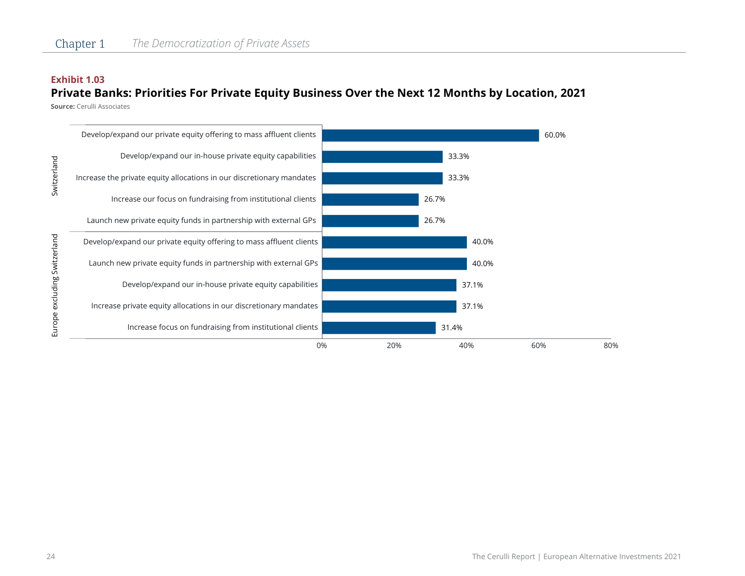#### **Exhibit 1.03**

## **Private Banks: Priorities For Private Equity Business Over the Next 12 Months by Location, 2021**

**Source:** Cerulli Associates

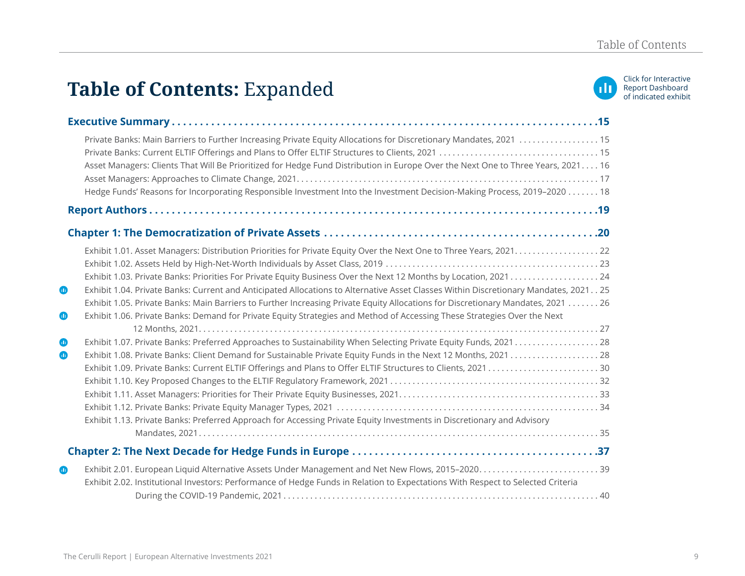# Table of Contents: Expanded **and in the indicated exhibit Expanded exhibit Expanded**



|                          | Private Banks: Main Barriers to Further Increasing Private Equity Allocations for Discretionary Mandates, 2021  15<br>Asset Managers: Clients That Will Be Prioritized for Hedge Fund Distribution in Europe Over the Next One to Three Years, 2021 16<br>Hedge Funds' Reasons for Incorporating Responsible Investment Into the Investment Decision-Making Process, 2019-2020 18                                                                                                                                        |
|--------------------------|--------------------------------------------------------------------------------------------------------------------------------------------------------------------------------------------------------------------------------------------------------------------------------------------------------------------------------------------------------------------------------------------------------------------------------------------------------------------------------------------------------------------------|
|                          |                                                                                                                                                                                                                                                                                                                                                                                                                                                                                                                          |
|                          |                                                                                                                                                                                                                                                                                                                                                                                                                                                                                                                          |
| $\bf \Phi$<br>$\bf \Phi$ | Exhibit 1.03. Private Banks: Priorities For Private Equity Business Over the Next 12 Months by Location, 2021 24<br>Exhibit 1.04. Private Banks: Current and Anticipated Allocations to Alternative Asset Classes Within Discretionary Mandates, 2021 25<br>Exhibit 1.05. Private Banks: Main Barriers to Further Increasing Private Equity Allocations for Discretionary Mandates, 2021  26<br>Exhibit 1.06. Private Banks: Demand for Private Equity Strategies and Method of Accessing These Strategies Over the Next |
|                          |                                                                                                                                                                                                                                                                                                                                                                                                                                                                                                                          |
| $\bf \Phi$<br>$\bullet$  | Exhibit 1.13. Private Banks: Preferred Approach for Accessing Private Equity Investments in Discretionary and Advisory                                                                                                                                                                                                                                                                                                                                                                                                   |
|                          |                                                                                                                                                                                                                                                                                                                                                                                                                                                                                                                          |
| $\bf \Phi$               | Exhibit 2.02. Institutional Investors: Performance of Hedge Funds in Relation to Expectations With Respect to Selected Criteria                                                                                                                                                                                                                                                                                                                                                                                          |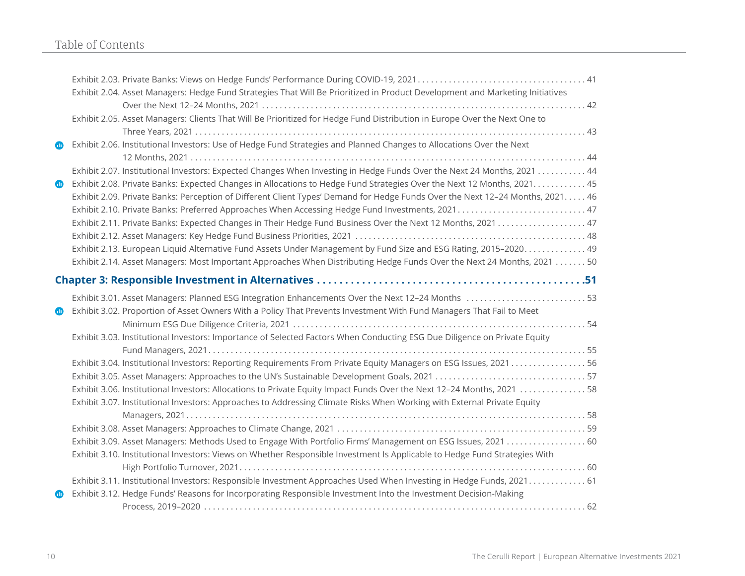# Table of Contents

|            | Exhibit 2.04. Asset Managers: Hedge Fund Strategies That Will Be Prioritized in Product Development and Marketing Initiatives |
|------------|-------------------------------------------------------------------------------------------------------------------------------|
|            |                                                                                                                               |
|            | Exhibit 2.05. Asset Managers: Clients That Will Be Prioritized for Hedge Fund Distribution in Europe Over the Next One to     |
|            |                                                                                                                               |
| ▥          | Exhibit 2.06. Institutional Investors: Use of Hedge Fund Strategies and Planned Changes to Allocations Over the Next          |
|            |                                                                                                                               |
|            | Exhibit 2.07. Institutional Investors: Expected Changes When Investing in Hedge Funds Over the Next 24 Months, 2021 44        |
| $\bf \Phi$ | Exhibit 2.08. Private Banks: Expected Changes in Allocations to Hedge Fund Strategies Over the Next 12 Months, 2021. 45       |
|            | Exhibit 2.09. Private Banks: Perception of Different Client Types' Demand for Hedge Funds Over the Next 12-24 Months, 2021 46 |
|            | Exhibit 2.10. Private Banks: Preferred Approaches When Accessing Hedge Fund Investments, 2021 47                              |
|            |                                                                                                                               |
|            |                                                                                                                               |
|            | Exhibit 2.13. European Liquid Alternative Fund Assets Under Management by Fund Size and ESG Rating, 2015-2020 49              |
|            | Exhibit 2.14. Asset Managers: Most Important Approaches When Distributing Hedge Funds Over the Next 24 Months, 2021 50        |
|            |                                                                                                                               |
|            | Exhibit 3.01. Asset Managers: Planned ESG Integration Enhancements Over the Next 12-24 Months 53                              |
| ▥          | Exhibit 3.02. Proportion of Asset Owners With a Policy That Prevents Investment With Fund Managers That Fail to Meet          |
|            |                                                                                                                               |
|            | Exhibit 3.03. Institutional Investors: Importance of Selected Factors When Conducting ESG Due Diligence on Private Equity     |
|            |                                                                                                                               |
|            | Exhibit 3.04. Institutional Investors: Reporting Requirements From Private Equity Managers on ESG Issues, 202156              |
|            |                                                                                                                               |
|            | Exhibit 3.06. Institutional Investors: Allocations to Private Equity Impact Funds Over the Next 12-24 Months, 2021 58         |
|            | Exhibit 3.07. Institutional Investors: Approaches to Addressing Climate Risks When Working with External Private Equity       |
|            |                                                                                                                               |
|            |                                                                                                                               |
|            | Exhibit 3.09. Asset Managers: Methods Used to Engage With Portfolio Firms' Management on ESG Issues, 2021  60                 |
|            | Exhibit 3.10. Institutional Investors: Views on Whether Responsible Investment Is Applicable to Hedge Fund Strategies With    |
|            |                                                                                                                               |
|            | Exhibit 3.11. Institutional Investors: Responsible Investment Approaches Used When Investing in Hedge Funds, 2021 61          |
| ◍          | Exhibit 3.12. Hedge Funds' Reasons for Incorporating Responsible Investment Into the Investment Decision-Making               |
|            |                                                                                                                               |
|            |                                                                                                                               |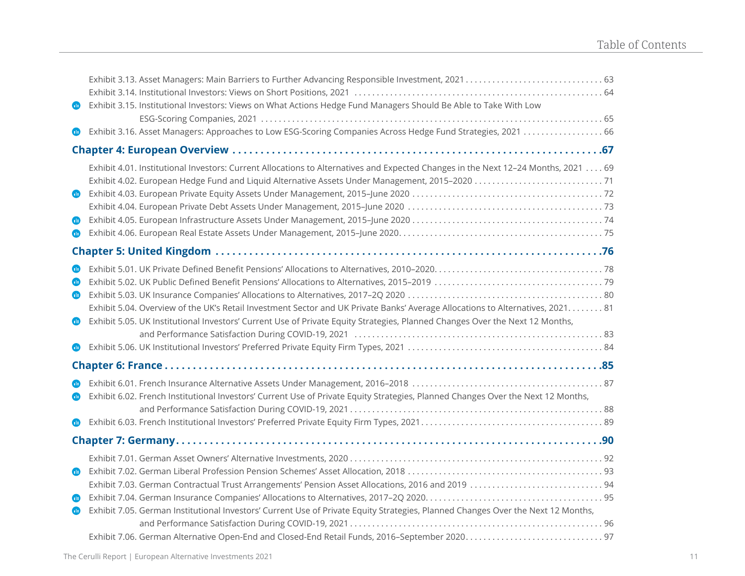|                      | Exhibit 3.15. Institutional Investors: Views on What Actions Hedge Fund Managers Should Be Able to Take With Low                                                                                                                                                |
|----------------------|-----------------------------------------------------------------------------------------------------------------------------------------------------------------------------------------------------------------------------------------------------------------|
| ▥                    | Exhibit 3.16. Asset Managers: Approaches to Low ESG-Scoring Companies Across Hedge Fund Strategies, 2021  66                                                                                                                                                    |
|                      |                                                                                                                                                                                                                                                                 |
| Φ<br>$\bf \Phi$<br>⋒ | Exhibit 4.01. Institutional Investors: Current Allocations to Alternatives and Expected Changes in the Next 12-24 Months, 2021 69                                                                                                                               |
|                      |                                                                                                                                                                                                                                                                 |
| Œ<br>Œ<br>◍<br>▥     | Exhibit 5.04. Overview of the UK's Retail Investment Sector and UK Private Banks' Average Allocations to Alternatives, 2021. 81<br>Exhibit 5.05. UK Institutional Investors' Current Use of Private Equity Strategies, Planned Changes Over the Next 12 Months, |
|                      |                                                                                                                                                                                                                                                                 |
| ⋒<br>▥               | Exhibit 6.02. French Institutional Investors' Current Use of Private Equity Strategies, Planned Changes Over the Next 12 Months,                                                                                                                                |
|                      |                                                                                                                                                                                                                                                                 |
| ▥<br>▥<br>⋒          | Exhibit 7.05. German Institutional Investors' Current Use of Private Equity Strategies, Planned Changes Over the Next 12 Months,                                                                                                                                |
|                      |                                                                                                                                                                                                                                                                 |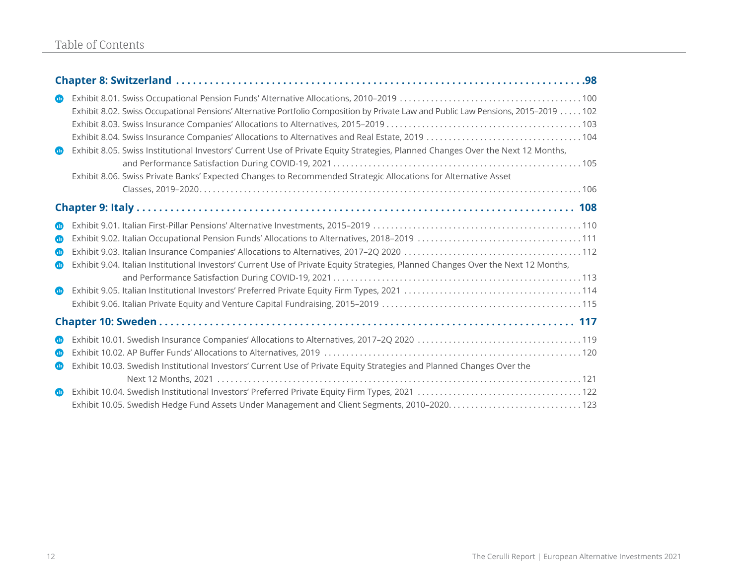| $\bullet$<br>$\blacksquare$                                     | Exhibit 8.02. Swiss Occupational Pensions' Alternative Portfolio Composition by Private Law and Public Law Pensions, 2015-2019 102<br>Exhibit 8.05. Swiss Institutional Investors' Current Use of Private Equity Strategies, Planned Changes Over the Next 12 Months,<br>Exhibit 8.06. Swiss Private Banks' Expected Changes to Recommended Strategic Allocations for Alternative Asset |  |
|-----------------------------------------------------------------|-----------------------------------------------------------------------------------------------------------------------------------------------------------------------------------------------------------------------------------------------------------------------------------------------------------------------------------------------------------------------------------------|--|
|                                                                 |                                                                                                                                                                                                                                                                                                                                                                                         |  |
|                                                                 |                                                                                                                                                                                                                                                                                                                                                                                         |  |
| Œ<br>$\blacksquare$<br>$\bullet$<br>$\blacksquare$<br>$\bullet$ | Exhibit 9.04. Italian Institutional Investors' Current Use of Private Equity Strategies, Planned Changes Over the Next 12 Months,                                                                                                                                                                                                                                                       |  |
|                                                                 |                                                                                                                                                                                                                                                                                                                                                                                         |  |
| $\bullet$<br>$\bullet$<br>$\blacksquare$                        | Exhibit 10.03. Swedish Institutional Investors' Current Use of Private Equity Strategies and Planned Changes Over the                                                                                                                                                                                                                                                                   |  |
| $\blacksquare$                                                  |                                                                                                                                                                                                                                                                                                                                                                                         |  |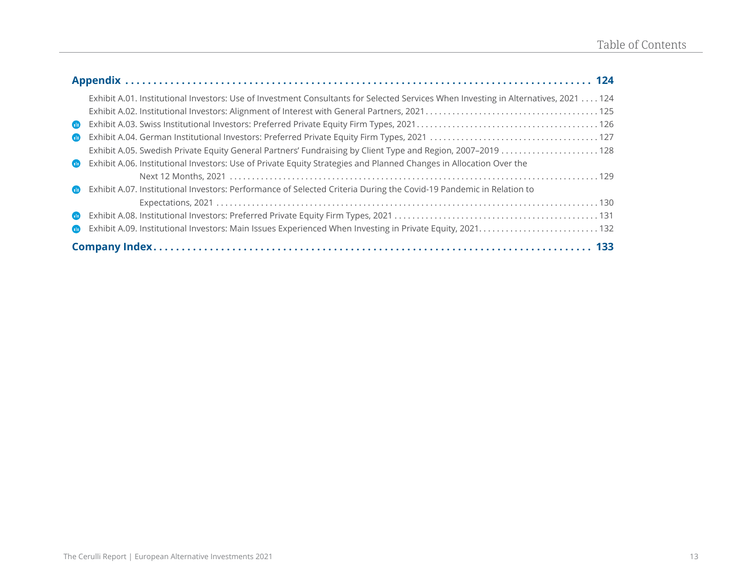|                | Exhibit A.01. Institutional Investors: Use of Investment Consultants for Selected Services When Investing in Alternatives, 2021 124 |  |
|----------------|-------------------------------------------------------------------------------------------------------------------------------------|--|
|                |                                                                                                                                     |  |
| $\mathbf{m}$   |                                                                                                                                     |  |
| $\mathbf{m}$   |                                                                                                                                     |  |
|                | Exhibit A.05. Swedish Private Equity General Partners' Fundraising by Client Type and Region, 2007-2019 128                         |  |
| $\blacksquare$ | Exhibit A.06. Institutional Investors: Use of Private Equity Strategies and Planned Changes in Allocation Over the                  |  |
|                |                                                                                                                                     |  |
| $\blacksquare$ | Exhibit A.07. Institutional Investors: Performance of Selected Criteria During the Covid-19 Pandemic in Relation to                 |  |
|                |                                                                                                                                     |  |
| $\blacksquare$ |                                                                                                                                     |  |
| $\blacksquare$ |                                                                                                                                     |  |
|                |                                                                                                                                     |  |